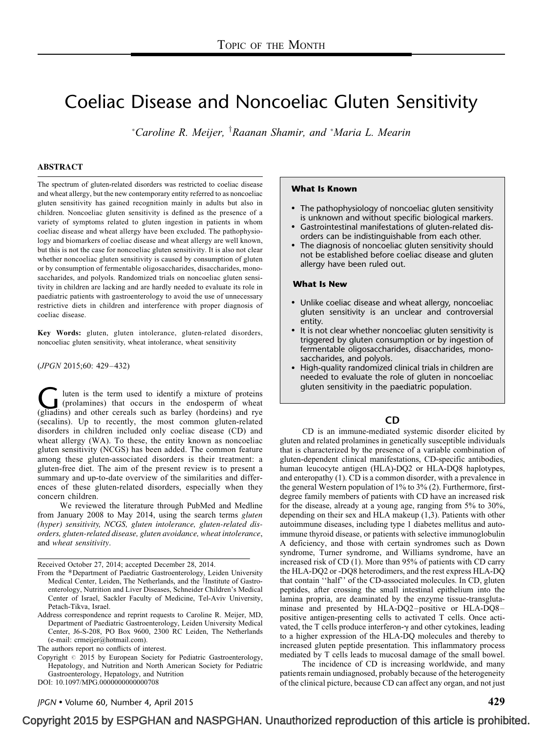# Coeliac Disease and Noncoeliac Gluten Sensitivity

\*Caroline R. Meijer, <sup>†</sup>Raanan Shamir, and \*Maria L. Mearin

#### ABSTRACT

The spectrum of gluten-related disorders was restricted to coeliac disease and wheat allergy, but the new contemporary entity referred to as noncoeliac gluten sensitivity has gained recognition mainly in adults but also in children. Noncoeliac gluten sensitivity is defined as the presence of a variety of symptoms related to gluten ingestion in patients in whom coeliac disease and wheat allergy have been excluded. The pathophysiology and biomarkers of coeliac disease and wheat allergy are well known, but this is not the case for noncoeliac gluten sensitivity. It is also not clear whether noncoeliac gluten sensitivity is caused by consumption of gluten or by consumption of fermentable oligosaccharides, disaccharides, monosaccharides, and polyols. Randomized trials on noncoeliac gluten sensitivity in children are lacking and are hardly needed to evaluate its role in paediatric patients with gastroenterology to avoid the use of unnecessary restrictive diets in children and interference with proper diagnosis of coeliac disease.

Key Words: gluten, gluten intolerance, gluten-related disorders, noncoeliac gluten sensitivity, wheat intolerance, wheat sensitivity

(JPGN 2015;60: 429–432)

luten is the term used to identify a mixture of proteins (prolamines) that occurs in the endosperm of wheat (gliadins) and other cereals such as barley (hordeins) and rye (secalins). Up to recently, the most common gluten-related disorders in children included only coeliac disease (CD) and wheat allergy (WA). To these, the entity known as noncoeliac gluten sensitivity (NCGS) has been added. The common feature among these gluten-associated disorders is their treatment: a gluten-free diet. The aim of the present review is to present a summary and up-to-date overview of the similarities and differences of these gluten-related disorders, especially when they concern children.

We reviewed the literature through PubMed and Medline from January 2008 to May 2014, using the search terms gluten (hyper) sensitivity, NCGS, gluten intolerance, gluten-related disorders, gluten-related disease, gluten avoidance, wheat intolerance, and wheat sensitivity.

The authors report no conflicts of interest.

#### What Is Known

- The pathophysiology of noncoeliac gluten sensitivity is unknown and without specific biological markers.
- $\bullet$  Gastrointestinal manifestations of gluten-related disorders can be indistinguishable from each other.
- The diagnosis of noncoeliac gluten sensitivity should not be established before coeliac disease and gluten allergy have been ruled out.

#### What Is New

- Unlike coeliac disease and wheat allergy, noncoeliac gluten sensitivity is an unclear and controversial entity.
- It is not clear whether noncoeliac gluten sensitivity is triggered by gluten consumption or by ingestion of fermentable oligosaccharides, disaccharides, monosaccharides, and polyols.
- $\bullet$  High-quality randomized clinical trials in children are needed to evaluate the role of gluten in noncoeliac gluten sensitivity in the paediatric population.

### CD

CD is an immune-mediated systemic disorder elicited by gluten and related prolamines in genetically susceptible individuals that is characterized by the presence of a variable combination of gluten-dependent clinical manifestations, CD-specific antibodies, human leucocyte antigen (HLA)-DQ2 or HLA-DQ8 haplotypes, and enteropathy (1). CD is a common disorder, with a prevalence in the general Western population of 1% to 3% (2). Furthermore, firstdegree family members of patients with CD have an increased risk for the disease, already at a young age, ranging from 5% to 30%, depending on their sex and HLA makeup (1,3). Patients with other autoimmune diseases, including type 1 diabetes mellitus and autoimmune thyroid disease, or patients with selective immunoglobulin A deficiency, and those with certain syndromes such as Down syndrome, Turner syndrome, and Williams syndrome, have an increased risk of CD (1). More than 95% of patients with CD carry the HLA-DQ2 or -DQ8 heterodimers, and the rest express HLA-DQ that contain ''half'' of the CD-associated molecules. In CD, gluten peptides, after crossing the small intestinal epithelium into the lamina propria, are deaminated by the enzyme tissue-transglutaminase and presented by HLA-DQ2–positive or HLA-DQ8– positive antigen-presenting cells to activated T cells. Once activated, the T cells produce interferon- $\gamma$  and other cytokines, leading to a higher expression of the HLA-DQ molecules and thereby to increased gluten peptide presentation. This inflammatory process mediated by T cells leads to mucosal damage of the small bowel.

The incidence of CD is increasing worldwide, and many patients remain undiagnosed, probably because of the heterogeneity of the clinical picture, because CD can affect any organ, and not just

## Copyright 2015 by ESPGHAN and NASPGHAN. Unauthorized reproduction of this article is prohibited.

Received October 27, 2014; accepted December 28, 2014.

From the \*Department of Paediatric Gastroenterology, Leiden University Medical Center, Leiden, The Netherlands, and the *Institute of Gastro*enterology, Nutrition and Liver Diseases, Schneider Children's Medical Center of Israel, Sackler Faculty of Medicine, Tel-Aviv University, Petach-Tikva, Israel.

Address correspondence and reprint requests to Caroline R. Meijer, MD, Department of Paediatric Gastroenterology, Leiden University Medical Center, J6-S-208, PO Box 9600, 2300 RC Leiden, The Netherlands (e-mail: crmeijer@hotmail.com).

Copyright  $\circ$  2015 by European Society for Pediatric Gastroenterology, Hepatology, and Nutrition and North American Society for Pediatric Gastroenterology, Hepatology, and Nutrition DOI: 10.1097/MPG.0000000000000708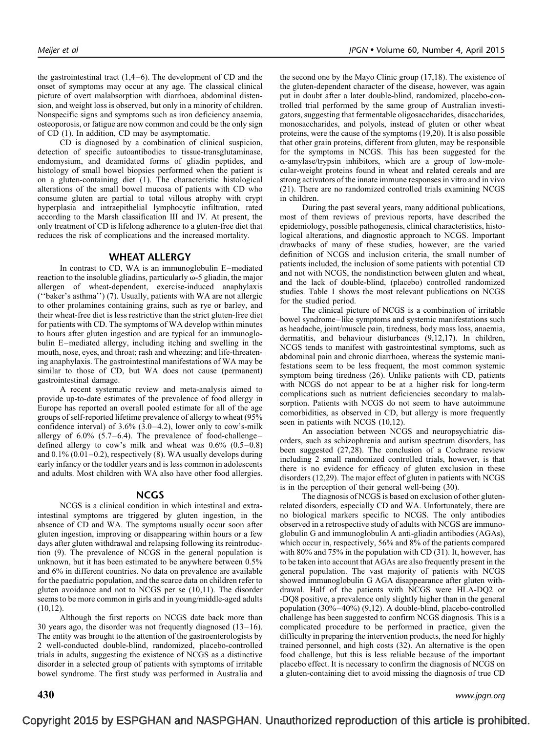the gastrointestinal tract  $(1,4-6)$ . The development of CD and the onset of symptoms may occur at any age. The classical clinical picture of overt malabsorption with diarrhoea, abdominal distension, and weight loss is observed, but only in a minority of children. Nonspecific signs and symptoms such as iron deficiency anaemia, osteoporosis, or fatigue are now common and could be the only sign of CD (1). In addition, CD may be asymptomatic.

CD is diagnosed by a combination of clinical suspicion, detection of specific autoantibodies to tissue-transglutaminase, endomysium, and deamidated forms of gliadin peptides, and histology of small bowel biopsies performed when the patient is on a gluten-containing diet (1). The characteristic histological alterations of the small bowel mucosa of patients with CD who consume gluten are partial to total villous atrophy with crypt hyperplasia and intraepithelial lymphocytic infiltration, rated according to the Marsh classification III and IV. At present, the only treatment of CD is lifelong adherence to a gluten-free diet that reduces the risk of complications and the increased mortality.

#### WHEAT ALLERGY

In contrast to CD, WA is an immunoglobulin E–mediated reaction to the insoluble gliadins, particularly  $\omega$ -5 gliadin, the major allergen of wheat-dependent, exercise-induced anaphylaxis (''baker's asthma'') (7). Usually, patients with WA are not allergic to other prolamines containing grains, such as rye or barley, and their wheat-free diet is less restrictive than the strict gluten-free diet for patients with CD. The symptoms of WA develop within minutes to hours after gluten ingestion and are typical for an immunoglobulin E–mediated allergy, including itching and swelling in the mouth, nose, eyes, and throat; rash and wheezing; and life-threatening anaphylaxis. The gastrointestinal manifestations of WA may be similar to those of CD, but WA does not cause (permanent) gastrointestinal damage.

A recent systematic review and meta-analysis aimed to provide up-to-date estimates of the prevalence of food allergy in Europe has reported an overall pooled estimate for all of the age groups of self-reported lifetime prevalence of allergy to wheat (95% confidence interval) of 3.6% (3.0–4.2), lower only to cow's-milk allergy of  $6.0\%$  (5.7–6.4). The prevalence of food-challenge– defined allergy to cow's milk and wheat was 0.6% (0.5–0.8) and  $0.1\%$  (0.01–0.2), respectively (8). WA usually develops during early infancy or the toddler years and is less common in adolescents and adults. Most children with WA also have other food allergies.

#### NCGS

NCGS is a clinical condition in which intestinal and extraintestinal symptoms are triggered by gluten ingestion, in the absence of CD and WA. The symptoms usually occur soon after gluten ingestion, improving or disappearing within hours or a few days after gluten withdrawal and relapsing following its reintroduction (9). The prevalence of NCGS in the general population is unknown, but it has been estimated to be anywhere between 0.5% and 6% in different countries. No data on prevalence are available for the paediatric population, and the scarce data on children refer to gluten avoidance and not to NCGS per se (10,11). The disorder seems to be more common in girls and in young/middle-aged adults  $(10,12)$ .

Although the first reports on NCGS date back more than 30 years ago, the disorder was not frequently diagnosed (13–16). The entity was brought to the attention of the gastroenterologists by 2 well-conducted double-blind, randomized, placebo-controlled trials in adults, suggesting the existence of NCGS as a distinctive disorder in a selected group of patients with symptoms of irritable bowel syndrome. The first study was performed in Australia and

the second one by the Mayo Clinic group (17,18). The existence of the gluten-dependent character of the disease, however, was again put in doubt after a later double-blind, randomized, placebo-controlled trial performed by the same group of Australian investigators, suggesting that fermentable oligosaccharides, disaccharides, monosaccharides, and polyols, instead of gluten or other wheat proteins, were the cause of the symptoms (19,20). It is also possible that other grain proteins, different from gluten, may be responsible for the symptoms in NCGS. This has been suggested for the  $\alpha$ -amylase/trypsin inhibitors, which are a group of low-molecular-weight proteins found in wheat and related cereals and are strong activators of the innate immune responses in vitro and in vivo (21). There are no randomized controlled trials examining NCGS in children.

During the past several years, many additional publications, most of them reviews of previous reports, have described the epidemiology, possible pathogenesis, clinical characteristics, histological alterations, and diagnostic approach to NCGS. Important drawbacks of many of these studies, however, are the varied definition of NCGS and inclusion criteria, the small number of patients included, the inclusion of some patients with potential CD and not with NCGS, the nondistinction between gluten and wheat, and the lack of double-blind, (placebo) controlled randomized studies. Table 1 shows the most relevant publications on NCGS for the studied period.

The clinical picture of NCGS is a combination of irritable bowel syndrome–like symptoms and systemic manifestations such as headache, joint/muscle pain, tiredness, body mass loss, anaemia, dermatitis, and behaviour disturbances (9,12,17). In children, NCGS tends to manifest with gastrointestinal symptoms, such as abdominal pain and chronic diarrhoea, whereas the systemic manifestations seem to be less frequent, the most common systemic symptom being tiredness (26). Unlike patients with CD, patients with NCGS do not appear to be at a higher risk for long-term complications such as nutrient deficiencies secondary to malabsorption. Patients with NCGS do not seem to have autoimmune comorbidities, as observed in CD, but allergy is more frequently seen in patients with NCGS (10,12).

An association between NCGS and neuropsychiatric disorders, such as schizophrenia and autism spectrum disorders, has been suggested (27,28). The conclusion of a Cochrane review including 2 small randomized controlled trials, however, is that there is no evidence for efficacy of gluten exclusion in these disorders (12,29). The major effect of gluten in patients with NCGS is in the perception of their general well-being (30).

The diagnosis of NCGS is based on exclusion of other glutenrelated disorders, especially CD and WA. Unfortunately, there are no biological markers specific to NCGS. The only antibodies observed in a retrospective study of adults with NCGS are immunoglobulin G and immunoglobulin A anti-gliadin antibodies (AGAs), which occur in, respectively, 56% and 8% of the patients compared with 80% and 75% in the population with CD (31). It, however, has to be taken into account that AGAs are also frequently present in the general population. The vast majority of patients with NCGS showed immunoglobulin G AGA disappearance after gluten withdrawal. Half of the patients with NCGS were HLA-DQ2 or -DQ8 positive, a prevalence only slightly higher than in the general population (30%–40%) (9,12). A double-blind, placebo-controlled challenge has been suggested to confirm NCGS diagnosis. This is a complicated procedure to be performed in practice, given the difficulty in preparing the intervention products, the need for highly trained personnel, and high costs (32). An alternative is the open food challenge, but this is less reliable because of the important placebo effect. It is necessary to confirm the diagnosis of NCGS on a gluten-containing diet to avoid missing the diagnosis of true CD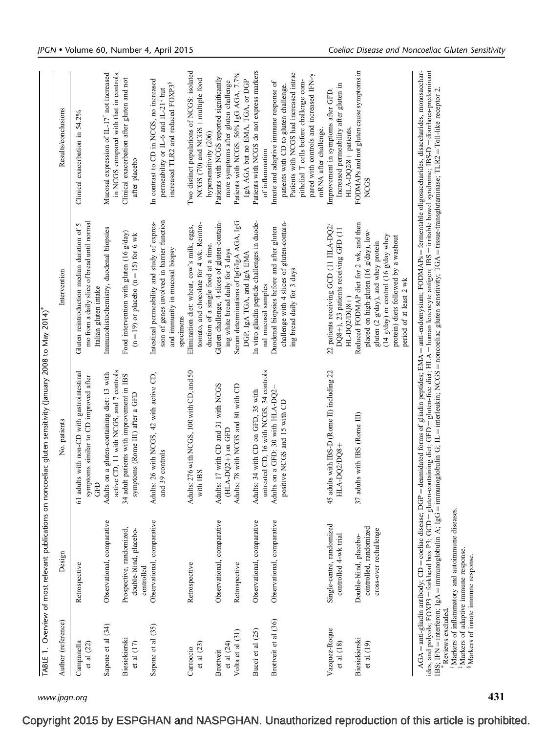| active CD, 11 with NCGS, and 7 controls<br>34 adult patients with improvement in IBS<br>symptoms similar to CD improved after<br>symptoms (Rome III) after a GFD<br>39 controls<br><b>IBS</b><br>61 adult<br>GFD<br>Adults:<br>Adults:<br>with<br>Adults:<br><b>Adults</b><br>$\frac{1}{2}$<br>Observational, comparative<br>Observational, comparative<br>double-blind, placebo-<br>Prospective, randomized<br>Retrospective<br>Retrospective<br>controlled<br>Sapone et al (34)<br>Sapone et al (35)<br>Biesiekierski<br>Campanella<br>et al $(23)$<br>et al $(22)$<br>et al $(17)$<br>Carroccio<br><b>Brottveit</b> | ts with non-CD with gastrointestinal                                  |                                                                                                                                                                                                                                       |                                                                                                                                                                                                                                                  |
|------------------------------------------------------------------------------------------------------------------------------------------------------------------------------------------------------------------------------------------------------------------------------------------------------------------------------------------------------------------------------------------------------------------------------------------------------------------------------------------------------------------------------------------------------------------------------------------------------------------------|-----------------------------------------------------------------------|---------------------------------------------------------------------------------------------------------------------------------------------------------------------------------------------------------------------------------------|--------------------------------------------------------------------------------------------------------------------------------------------------------------------------------------------------------------------------------------------------|
|                                                                                                                                                                                                                                                                                                                                                                                                                                                                                                                                                                                                                        |                                                                       | mo from a daily slice of bread until normal<br>Gluten reintroduction median duration of 5<br>Italian gluten intake                                                                                                                    | Clinical exacerbation in 54.2%                                                                                                                                                                                                                   |
|                                                                                                                                                                                                                                                                                                                                                                                                                                                                                                                                                                                                                        | on a gluten-containing diet: 13 with                                  | Immunohistochemistry, duodenal biopsies                                                                                                                                                                                               | Mucosal expression of IL-17 <sup>t</sup> not increased<br>in NCGS compared with that in controls                                                                                                                                                 |
|                                                                                                                                                                                                                                                                                                                                                                                                                                                                                                                                                                                                                        |                                                                       | Food intervention with gluten (16 g/day)<br>$(n = 19)$ or placebo $(n = 15)$ for 6 wk                                                                                                                                                 | Clinical exacerbation after gluten and not<br>after placebo                                                                                                                                                                                      |
|                                                                                                                                                                                                                                                                                                                                                                                                                                                                                                                                                                                                                        | 26 with NCGS, 42 with active CD,                                      | sion of genes involved in barrier function<br>Intestinal permeability and study of expres-<br>and immunity in mucosal biopsy<br>specimens                                                                                             | In contrast to CD in NCGS, no increased<br>increased TLR2 and reduced FOXP3 <sup>8</sup><br>permeability or IL-6 and IL-21 <sup>‡</sup> but                                                                                                      |
|                                                                                                                                                                                                                                                                                                                                                                                                                                                                                                                                                                                                                        | 276 with NCGS, 100 with CD, and 50                                    | tomato, and chocolate for 4 wk. Reintro-<br>Elimination diet: wheat, cow's milk, eggs,<br>duction of a single food at a time.                                                                                                         | Two distinct populations of NCGS: isolated<br>NCGS (70) and NCGS + multiple food<br>hypersensitivity (206)                                                                                                                                       |
| $(HLA-DQ2+)$ on GFD<br>Adults:<br>Observational, comparative<br>Retrospective<br>Volta et al $(31)$<br>et al $(24)$                                                                                                                                                                                                                                                                                                                                                                                                                                                                                                    | 17 with CD and 31 with NCGS<br>78 with NCGS and 80 with CD            | Gluten challenge, 4 slices of gluten-contain-<br>Serum determinations of IgG/IgA AGA, IgG<br>ing white bread daily for 3 days<br>DGP, IgA TGA, and IgA EMA                                                                            | Patients with NCGS: 56% IgG AGA, 7.7%<br>Patients with NCGS reported significantly<br>IgA AGA but no EMA, TGA, or DGP<br>more symptoms after gluten challenge                                                                                    |
| Adults:<br>Observational, comparative<br>Bucci et al (25)                                                                                                                                                                                                                                                                                                                                                                                                                                                                                                                                                              | untreated CD, 16 with NCGS, 34 controls<br>34 with CD on GFD, 35 with | In vitro gliadin peptide challenges in duode-<br>nal mucosal samples                                                                                                                                                                  | Patients with NCGS do not express markers<br>of inflammation                                                                                                                                                                                     |
| positive NCGS and 15 with CD<br>Adults<br>Observational, comparative<br>Brottveit et al (36)                                                                                                                                                                                                                                                                                                                                                                                                                                                                                                                           | on a GFD: 30 with HLA-DQ2-                                            | challenge with 4 slices of gluten-contain-<br>Duodenal biopsies before and after gluten<br>ing bread daily for 3 days                                                                                                                 | Patients with NCGS had increased intrae<br>pared with controls and increased IFN- $\gamma$<br>pithelial T cells before challenge com-<br>Imate and adaptive immune response of<br>patients with CD to gluten challenge.<br>mRNA after challenge. |
| 45 adults with IBS-D (Rome II) including 22<br>HLA-DQ2/DQ8+<br>Single-centre, randomized<br>controlled 4-wk trial<br>Vazquez-Roque<br>et al $(18)$                                                                                                                                                                                                                                                                                                                                                                                                                                                                     |                                                                       | 22 patients receiving GCD (11 HLA-DQ2/<br>DQ8+), 23 patients receiving GFD (11<br>$HL-DQ2/DQ8+$                                                                                                                                       | Increased permeability after gluten in<br>Improvement in symptoms after GFD<br>HLA-DQ2/8+ patients.                                                                                                                                              |
| tts with IBS (Rome III)<br>$37$ adul<br>controlled, randomized<br>cross-over rechallenge<br>Double-blind, placebo-<br>Biesiekierski<br>et al $(19)$                                                                                                                                                                                                                                                                                                                                                                                                                                                                    |                                                                       | Reduced FODMAP diet for 2 wk, and then<br>placed on high-gluten (16 g/day), low-<br>(14 $g$ day) or control (16 $g$ day whey<br>protein) diets followed by a washout<br>gluten (2 g/day), and whey protein<br>period of at least 2 wk | FODMAPs and not gluten cause symptoms in<br><b>NCGS</b>                                                                                                                                                                                          |